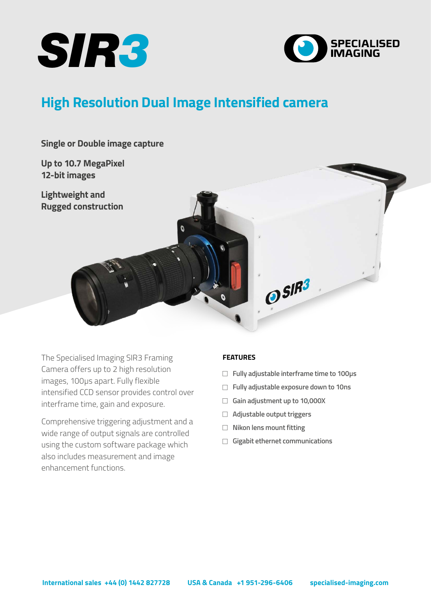



# **High Resolution Dual Image Intensified camera**

**Single or Double image capture**

**Up to 10.7 MegaPixel 12-bit images**

**Lightweight and Rugged construction**



The Specialised Imaging SIR3 Framing Camera offers up to 2 high resolution images, 100µs apart. Fully flexible intensified CCD sensor provides control over interframe time, gain and exposure.

Comprehensive triggering adjustment and a wide range of output signals are controlled using the custom software package which also includes measurement and image enhancement functions.

## **FEATURES**

- □ Fully adjustable interframe time to 100µs
- Fully adjustable exposure down to 10ns
- <sup>F</sup> **Gain adjustment up to 10,000X**
- <sup>F</sup> **Adjustable output triggers**
- **F** Nikon lens mount fitting
- <sup>F</sup> **Gigabit ethernet communications**